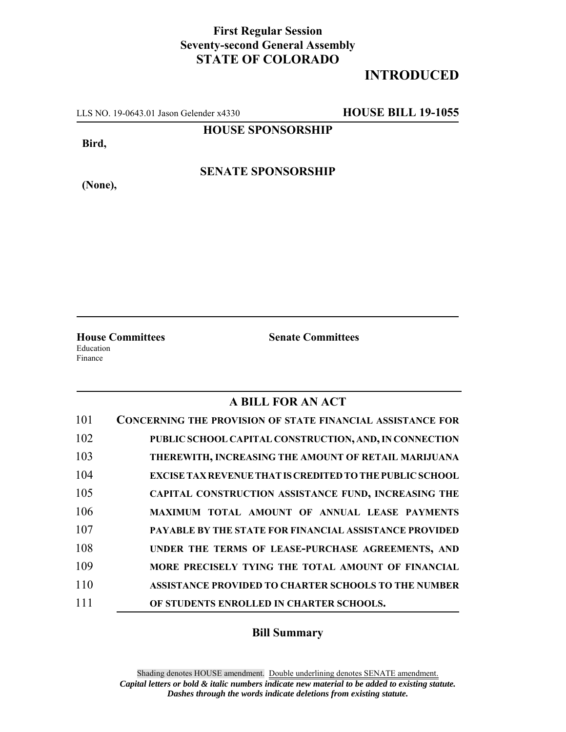## **First Regular Session Seventy-second General Assembly STATE OF COLORADO**

## **INTRODUCED**

LLS NO. 19-0643.01 Jason Gelender x4330 **HOUSE BILL 19-1055**

**HOUSE SPONSORSHIP**

**Bird,**

**SENATE SPONSORSHIP**

**(None),**

**House Committees Senate Committees** Education Finance

## **A BILL FOR AN ACT**

| 101 | <b>CONCERNING THE PROVISION OF STATE FINANCIAL ASSISTANCE FOR</b> |
|-----|-------------------------------------------------------------------|
| 102 | PUBLIC SCHOOL CAPITAL CONSTRUCTION, AND, IN CONNECTION            |
| 103 | THEREWITH, INCREASING THE AMOUNT OF RETAIL MARIJUANA              |
| 104 | EXCISE TAX REVENUE THAT IS CREDITED TO THE PUBLIC SCHOOL          |
| 105 | CAPITAL CONSTRUCTION ASSISTANCE FUND, INCREASING THE              |
| 106 | MAXIMUM TOTAL AMOUNT OF ANNUAL LEASE PAYMENTS                     |
| 107 | <b>PAYABLE BY THE STATE FOR FINANCIAL ASSISTANCE PROVIDED</b>     |
| 108 | UNDER THE TERMS OF LEASE-PURCHASE AGREEMENTS, AND                 |
| 109 | MORE PRECISELY TYING THE TOTAL AMOUNT OF FINANCIAL                |
| 110 | <b>ASSISTANCE PROVIDED TO CHARTER SCHOOLS TO THE NUMBER</b>       |
| 111 | OF STUDENTS ENROLLED IN CHARTER SCHOOLS.                          |

## **Bill Summary**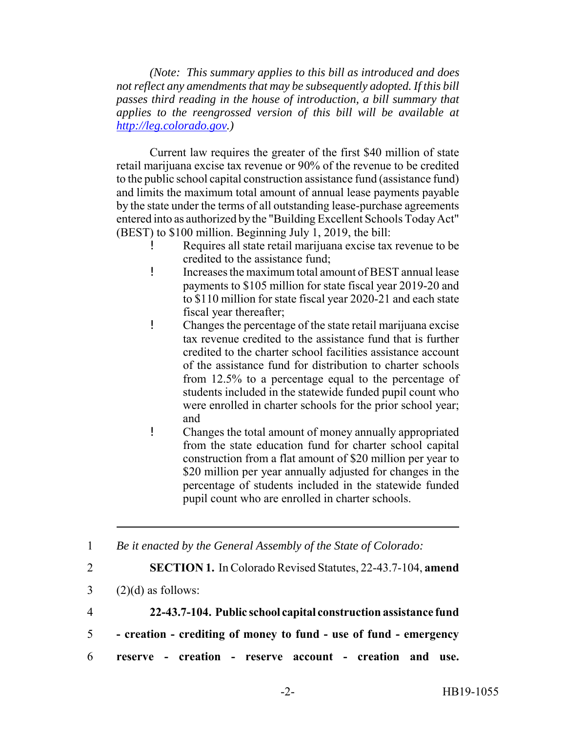*(Note: This summary applies to this bill as introduced and does not reflect any amendments that may be subsequently adopted. If this bill passes third reading in the house of introduction, a bill summary that applies to the reengrossed version of this bill will be available at http://leg.colorado.gov.)*

Current law requires the greater of the first \$40 million of state retail marijuana excise tax revenue or 90% of the revenue to be credited to the public school capital construction assistance fund (assistance fund) and limits the maximum total amount of annual lease payments payable by the state under the terms of all outstanding lease-purchase agreements entered into as authorized by the "Building Excellent Schools Today Act" (BEST) to \$100 million. Beginning July 1, 2019, the bill:

- Requires all state retail marijuana excise tax revenue to be credited to the assistance fund;
- ! Increases the maximum total amount of BEST annual lease payments to \$105 million for state fiscal year 2019-20 and to \$110 million for state fiscal year 2020-21 and each state fiscal year thereafter;
- ! Changes the percentage of the state retail marijuana excise tax revenue credited to the assistance fund that is further credited to the charter school facilities assistance account of the assistance fund for distribution to charter schools from 12.5% to a percentage equal to the percentage of students included in the statewide funded pupil count who were enrolled in charter schools for the prior school year; and
- ! Changes the total amount of money annually appropriated from the state education fund for charter school capital construction from a flat amount of \$20 million per year to \$20 million per year annually adjusted for changes in the percentage of students included in the statewide funded pupil count who are enrolled in charter schools.

1 *Be it enacted by the General Assembly of the State of Colorado:*

- 2 **SECTION 1.** In Colorado Revised Statutes, 22-43.7-104, **amend**
- $3 \qquad (2)(d)$  as follows:
- 4 **22-43.7-104. Public school capital construction assistance fund**
- 5  **creation crediting of money to fund use of fund emergency**
- 6 **reserve creation reserve account creation and use.**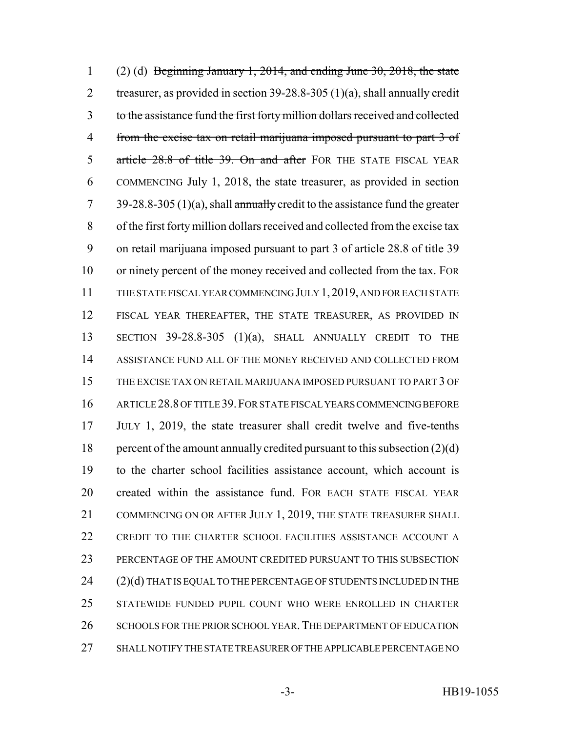1 (2) (d) Beginning January 1, 2014, and ending June 30, 2018, the state 2 treasurer, as provided in section  $39-28.8-305$  (1)(a), shall annually credit to the assistance fund the first forty million dollars received and collected from the excise tax on retail marijuana imposed pursuant to part 3 of 5 article 28.8 of title 39. On and after FOR THE STATE FISCAL YEAR COMMENCING July 1, 2018, the state treasurer, as provided in section 7 39-28.8-305 (1)(a), shall annually credit to the assistance fund the greater of the first forty million dollars received and collected from the excise tax on retail marijuana imposed pursuant to part 3 of article 28.8 of title 39 or ninety percent of the money received and collected from the tax. FOR THE STATE FISCAL YEAR COMMENCING JULY 1,2019, AND FOR EACH STATE FISCAL YEAR THEREAFTER, THE STATE TREASURER, AS PROVIDED IN SECTION 39-28.8-305 (1)(a), SHALL ANNUALLY CREDIT TO THE ASSISTANCE FUND ALL OF THE MONEY RECEIVED AND COLLECTED FROM THE EXCISE TAX ON RETAIL MARIJUANA IMPOSED PURSUANT TO PART 3 OF ARTICLE 28.8 OF TITLE 39.FOR STATE FISCAL YEARS COMMENCING BEFORE JULY 1, 2019, the state treasurer shall credit twelve and five-tenths 18 percent of the amount annually credited pursuant to this subsection  $(2)(d)$  to the charter school facilities assistance account, which account is created within the assistance fund. FOR EACH STATE FISCAL YEAR 21 COMMENCING ON OR AFTER JULY 1, 2019, THE STATE TREASURER SHALL CREDIT TO THE CHARTER SCHOOL FACILITIES ASSISTANCE ACCOUNT A PERCENTAGE OF THE AMOUNT CREDITED PURSUANT TO THIS SUBSECTION 24 (2)(d) THAT IS EQUAL TO THE PERCENTAGE OF STUDENTS INCLUDED IN THE STATEWIDE FUNDED PUPIL COUNT WHO WERE ENROLLED IN CHARTER 26 SCHOOLS FOR THE PRIOR SCHOOL YEAR. THE DEPARTMENT OF EDUCATION SHALL NOTIFY THE STATE TREASURER OF THE APPLICABLE PERCENTAGE NO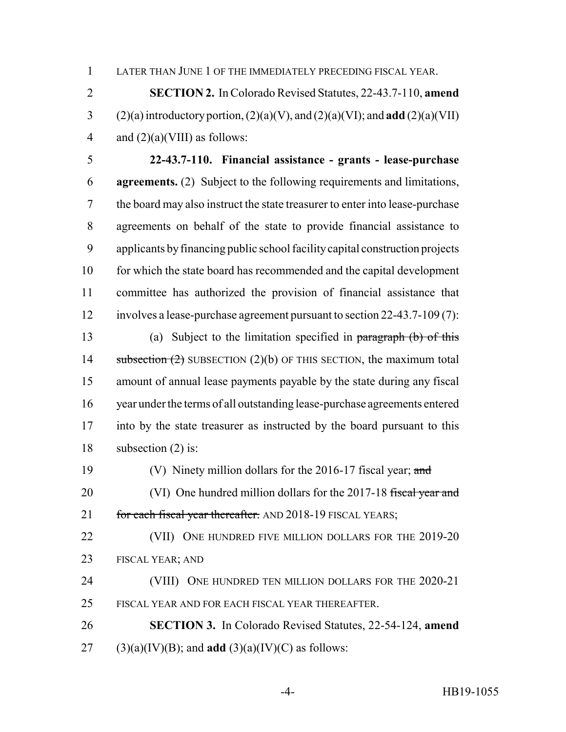LATER THAN JUNE 1 OF THE IMMEDIATELY PRECEDING FISCAL YEAR.

 **SECTION 2.** In Colorado Revised Statutes, 22-43.7-110, **amend** 3 (2)(a) introductory portion,  $(2)(a)(V)$ , and  $(2)(a)(VI)$ ; and **add**  $(2)(a)(VII)$ 4 and  $(2)(a)(VIII)$  as follows:

 **22-43.7-110. Financial assistance - grants - lease-purchase agreements.** (2) Subject to the following requirements and limitations, the board may also instruct the state treasurer to enter into lease-purchase agreements on behalf of the state to provide financial assistance to applicants by financing public school facility capital construction projects 10 for which the state board has recommended and the capital development committee has authorized the provision of financial assistance that involves a lease-purchase agreement pursuant to section 22-43.7-109 (7):

 (a) Subject to the limitation specified in paragraph (b) of this 14 subsection  $(2)$  SUBSECTION  $(2)(b)$  OF THIS SECTION, the maximum total amount of annual lease payments payable by the state during any fiscal year under the terms of all outstanding lease-purchase agreements entered into by the state treasurer as instructed by the board pursuant to this subsection (2) is:

19 (V) Ninety million dollars for the 2016-17 fiscal year; and

20 (VI) One hundred million dollars for the 2017-18 fiscal year and 21 for each fiscal year thereafter. AND 2018-19 FISCAL YEARS;

22 (VII) ONE HUNDRED FIVE MILLION DOLLARS FOR THE 2019-20 FISCAL YEAR; AND

 (VIII) ONE HUNDRED TEN MILLION DOLLARS FOR THE 2020-21 FISCAL YEAR AND FOR EACH FISCAL YEAR THEREAFTER.

 **SECTION 3.** In Colorado Revised Statutes, 22-54-124, **amend** (3)(a)(IV)(B); and **add** (3)(a)(IV)(C) as follows: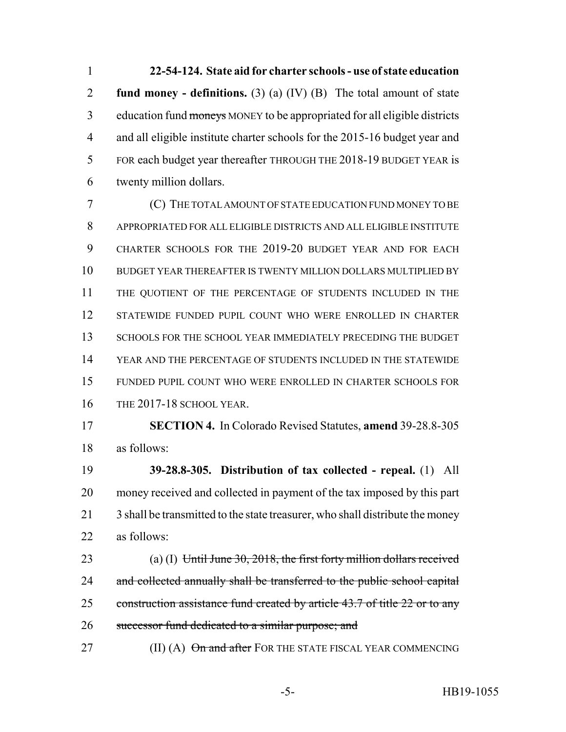**22-54-124. State aid for charter schools - use of state education fund money - definitions.** (3) (a) (IV) (B) The total amount of state 3 education fund moneys MONEY to be appropriated for all eligible districts and all eligible institute charter schools for the 2015-16 budget year and FOR each budget year thereafter THROUGH THE 2018-19 BUDGET YEAR is twenty million dollars.

 (C) THE TOTAL AMOUNT OF STATE EDUCATION FUND MONEY TO BE APPROPRIATED FOR ALL ELIGIBLE DISTRICTS AND ALL ELIGIBLE INSTITUTE CHARTER SCHOOLS FOR THE 2019-20 BUDGET YEAR AND FOR EACH BUDGET YEAR THEREAFTER IS TWENTY MILLION DOLLARS MULTIPLIED BY THE QUOTIENT OF THE PERCENTAGE OF STUDENTS INCLUDED IN THE STATEWIDE FUNDED PUPIL COUNT WHO WERE ENROLLED IN CHARTER 13 SCHOOLS FOR THE SCHOOL YEAR IMMEDIATELY PRECEDING THE BUDGET YEAR AND THE PERCENTAGE OF STUDENTS INCLUDED IN THE STATEWIDE FUNDED PUPIL COUNT WHO WERE ENROLLED IN CHARTER SCHOOLS FOR THE 2017-18 SCHOOL YEAR.

 **SECTION 4.** In Colorado Revised Statutes, **amend** 39-28.8-305 as follows:

 **39-28.8-305. Distribution of tax collected - repeal.** (1) All money received and collected in payment of the tax imposed by this part 21 3 shall be transmitted to the state treasurer, who shall distribute the money as follows:

23 (a) (I) Until June 30, 2018, the first forty million dollars received 24 and collected annually shall be transferred to the public school capital 25 construction assistance fund created by article 43.7 of title 22 or to any 26 successor fund dedicated to a similar purpose; and

27 (II) (A) On and after FOR THE STATE FISCAL YEAR COMMENCING